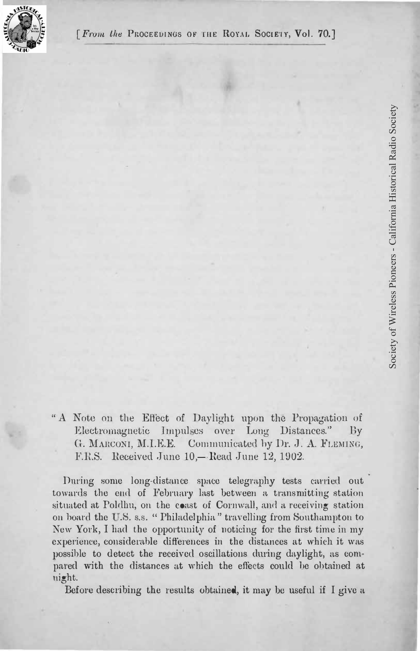

"A Note on the Effect of Daylight upon the Propagation of Electromagnetic Impulses over Long Distances." By Electromagnetic Impulses over Long Distances." G. MARCONI, M.I.E.E. Communicated by Dr. J. A. FLEMING, F.R.S. Received June 10,— Read June 12, 1902.

During some long-distance space telegraphy tests carried out towards the end of February last betweeu a transmitting station situated at Poldhu, on the coast of Cornwall, and a receiving station on board the U.S. s.s. "Philadelphia" travelling from Southampton to New York, I had the opportunity of noticing for the first time in my experience, considerable differences in the distances at which it was possible to detect the received oscillations during daylight, as compared with the distances at which the effects could be obtained at night.

Before describing the results obtained, it may be useful if I give a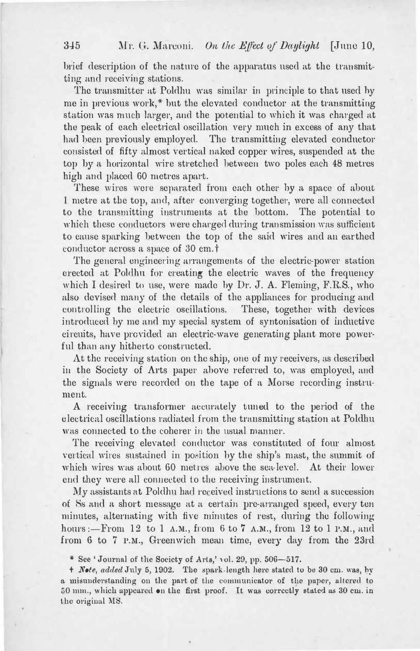brief description of the nature of the apparatus used at the transmitting and receiving stations.

The transmitter at Poldhu was similar in principle to that used by me in previous work,\* but the elevated conductor at the transmitting station was much larger, and the potential to which it was charged at the peak of each electrical oscillation very much in excess of any that had been previously employed. The transmitting elevated conductor consisted of fifty almost vertical naked copper wires, suspended at the top by a horizontal wire stretched between two poles each 48 metres high and placed 60 metres apart.

These wires were separated from each other by a space of about 1 metre at the top, and, after converging together, were all connected to the transmitting instruments at the bottom. The potential to which these conductors were charged during transmission was sufficient to cause sparking between the top of the said wires and an earthed conductor across a space of 30 cm. t

The general engineering arrangements of the electric-power station erected at Poldhu for creating the electric waves of the frequency which I desired to use, were made by  $Dr. J. A.$  Fleming, F.R.S., who also devised many of the details of the appliances for producing and controlling the electric oscillations. These, together with devices introduced by me and my special system of syntonisation of inductive circuits, have prcvided an electric-wave generating plant more powerful than any hitherto constructed.

At the receiving station on the ship, one of my receivers, as described iu the Society of Arts paper above referred to, was employed, and the signals were recorded on the tape of a Morse recording instmment.

A receiving transformer accurately tuned to the period of the electrical oscillations radiated from the transmitting station at Poldhu was connected to the coherer in the usual manner.

The receiving elevated conductor was constituted of four almost vertical wires sustained in position by the ship's mast, the summit of which wires was about 60 metres above the sea-level. At their lower end they were all connected to the receiving instrument.

My assistants at Poldhu had received instructions to send a succession of Ss and a short message at a certain pre-arranged speed, every ten minutes, alternating with five minutes of rest, during the following hours :-From 12 to 1 A.M., from 6 to 7 A.M., from 12 to 1 P.M., and from 6 to 7 P.M., Greenwich mean time, every day from the 23rd

<sup>\*</sup> See 'Journal of the Society of Arts,' vol. 29, pp. 506-517.

<sup>+</sup> *Note, added* July 5, 1902. The spark-length here stated to be 30 cm. was, by a misunderstanding on the part of the communicator of the paper, altered to 50 mm., which appeared on the first proof. It was correctly stated as 30 cm. in the original MS.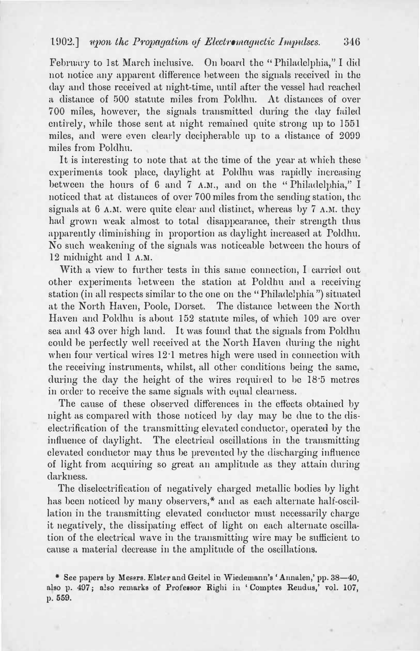## 1902.] *upon the Propagation of Electromagnetic Impulses.* 346

February to 1st March inclusive. On board the "Philadelphia," I did not notice any apparent difference between the signals received in the day and those received at night-time, until after the vessel had reached a distance of 500 statute miles from Poldhu. At distances of over 700 miles, however, the signals transmitted during the day failed entirely, while those sent at night remained quite strong up to 1551 miles, and were even clearly decipherable up to a distance of 2099 miles from Poldhu.

It is interesting to note that at the time of the year at which these experiments took place, daylight at Poldhu was rapidly increasing between the hours of 6 and 7 A.M., and on the "Philadelphia," I noticed that at distances of over 700 miles from the sending station, the signals at  $6$  A.M. were quite clear and distinct, whereas by  $7$  A.M. they had grown weak almost to total disappearance, their strength thus apparently diminishing in proportion as daylight increased at Poldhu. No such weakening of the signals was noticeable between the hours of 12 midnight and 1 A.M.

With a view to further tests in this same connection, I carried out other experiments between the station at Poldhu and a receiving station (in all respects similar to the one on the "Philadelphia") situated at the North Haven, Poole, Dorset. The distance between the North Haven and Poldhu is about 152 statute miles, of which 109 are over sea and 43 over high land. It was found that the signals from Poldhu could be perfectly well received at the North Haven during the night when four vertical wires 12·1 metres high were used in connection with the receiving instruments, whilst, all other conditions being the same, during the day the height of the wires required to be 18.5 metres in order to receive the same signals with equal clearness.

The cause of these observed differences in the effects obtained by night as compared with those noticed by day may be due to the diselectrification of the transmitting elevated conductor, operated by tho influence of daylight. The electrical oscillations in the transmitting elevated conductor may thus be prevented by the discharging influence of light from acquiring so great an amplitude as they attain during darkness.

The diselectrification of negatively charged metallic bodies by light has been noticed by many observers,\* and as each alternate half-oscillation in the transmitting elevated conductor must necessarily charge it negatively, the dissipating effect of light on each altemate oscillation of the electrical wave in the transmitting wire may be sufficient to cause a material decrease in the amplitude of the oscillations.

<sup>\*</sup> See papers by Mesers. Elster and Geitel in Wiedemann's 'Annalen,' pp. 38-40, also p. 497; also remarks of Professor Righi in 'Comptes Rendus,' vol. 107, p. **559.**